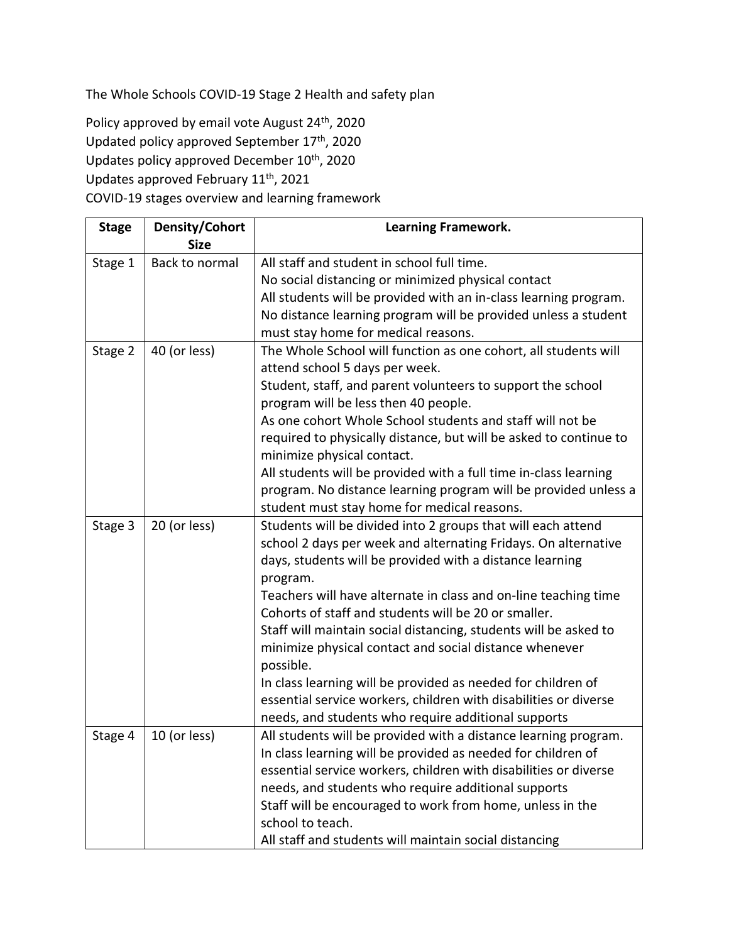The Whole Schools COVID-19 Stage 2 Health and safety plan

Policy approved by email vote August 24<sup>th</sup>, 2020 Updated policy approved September 17<sup>th</sup>, 2020 Updates policy approved December 10<sup>th</sup>, 2020 Updates approved February 11th, 2021 COVID-19 stages overview and learning framework

| <b>Stage</b> | Density/Cohort<br><b>Size</b> | <b>Learning Framework.</b>                                        |
|--------------|-------------------------------|-------------------------------------------------------------------|
| Stage 1      | Back to normal                | All staff and student in school full time.                        |
|              |                               | No social distancing or minimized physical contact                |
|              |                               | All students will be provided with an in-class learning program.  |
|              |                               | No distance learning program will be provided unless a student    |
|              |                               | must stay home for medical reasons.                               |
| Stage 2      | 40 (or less)                  | The Whole School will function as one cohort, all students will   |
|              |                               | attend school 5 days per week.                                    |
|              |                               | Student, staff, and parent volunteers to support the school       |
|              |                               | program will be less then 40 people.                              |
|              |                               | As one cohort Whole School students and staff will not be         |
|              |                               | required to physically distance, but will be asked to continue to |
|              |                               | minimize physical contact.                                        |
|              |                               | All students will be provided with a full time in-class learning  |
|              |                               | program. No distance learning program will be provided unless a   |
|              |                               | student must stay home for medical reasons.                       |
| Stage 3      | 20 (or less)                  | Students will be divided into 2 groups that will each attend      |
|              |                               | school 2 days per week and alternating Fridays. On alternative    |
|              |                               | days, students will be provided with a distance learning          |
|              |                               | program.                                                          |
|              |                               | Teachers will have alternate in class and on-line teaching time   |
|              |                               | Cohorts of staff and students will be 20 or smaller.              |
|              |                               | Staff will maintain social distancing, students will be asked to  |
|              |                               | minimize physical contact and social distance whenever            |
|              |                               | possible.                                                         |
|              |                               | In class learning will be provided as needed for children of      |
|              |                               | essential service workers, children with disabilities or diverse  |
|              |                               | needs, and students who require additional supports               |
| Stage 4      | 10 (or less)                  | All students will be provided with a distance learning program.   |
|              |                               | In class learning will be provided as needed for children of      |
|              |                               | essential service workers, children with disabilities or diverse  |
|              |                               | needs, and students who require additional supports               |
|              |                               | Staff will be encouraged to work from home, unless in the         |
|              |                               | school to teach.                                                  |
|              |                               | All staff and students will maintain social distancing            |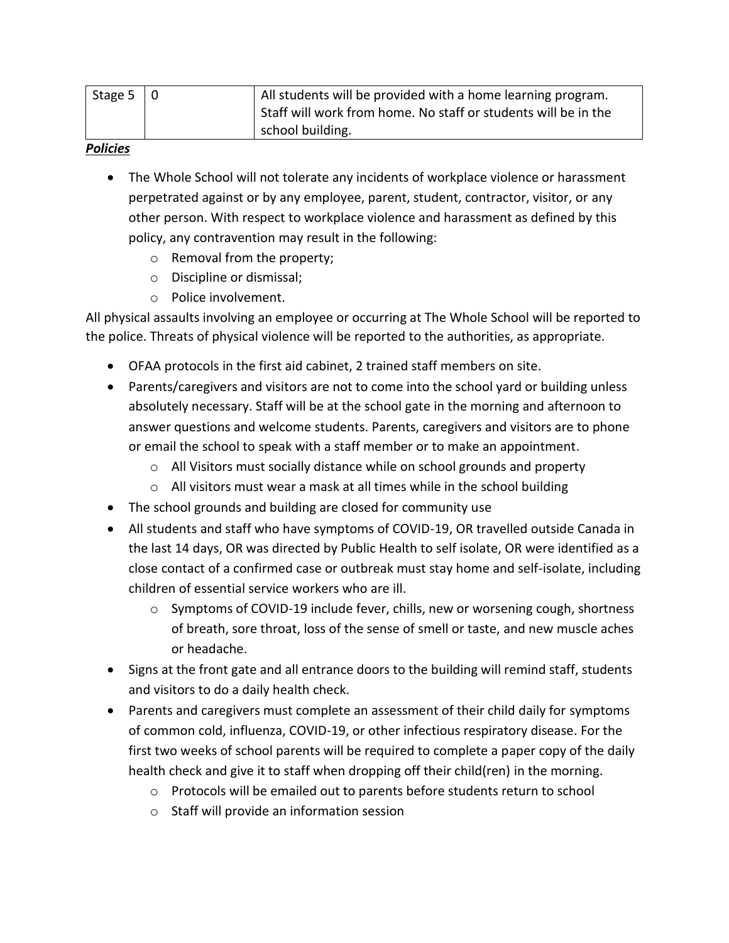| Stage $5 \mid 0$ | All students will be provided with a home learning program.    |
|------------------|----------------------------------------------------------------|
|                  | Staff will work from home. No staff or students will be in the |
|                  | school building.                                               |

#### *Policies*

- The Whole School will not tolerate any incidents of workplace violence or harassment perpetrated against or by any employee, parent, student, contractor, visitor, or any other person. With respect to workplace violence and harassment as defined by this policy, any contravention may result in the following:
	- o Removal from the property;
	- o Discipline or dismissal;
	- o Police involvement.

All physical assaults involving an employee or occurring at The Whole School will be reported to the police. Threats of physical violence will be reported to the authorities, as appropriate.

- OFAA protocols in the first aid cabinet, 2 trained staff members on site.
- Parents/caregivers and visitors are not to come into the school yard or building unless absolutely necessary. Staff will be at the school gate in the morning and afternoon to answer questions and welcome students. Parents, caregivers and visitors are to phone or email the school to speak with a staff member or to make an appointment.
	- o All Visitors must socially distance while on school grounds and property
	- $\circ$  All visitors must wear a mask at all times while in the school building
- The school grounds and building are closed for community use
- All students and staff who have symptoms of COVID-19, OR travelled outside Canada in the last 14 days, OR was directed by Public Health to self isolate, OR were identified as a close contact of a confirmed case or outbreak must stay home and self-isolate, including children of essential service workers who are ill.
	- o Symptoms of COVID-19 include fever, chills, new or worsening cough, shortness of breath, sore throat, loss of the sense of smell or taste, and new muscle aches or headache.
- Signs at the front gate and all entrance doors to the building will remind staff, students and visitors to do a daily health check.
- Parents and caregivers must complete an assessment of their child daily for symptoms of common cold, influenza, COVID-19, or other infectious respiratory disease. For the first two weeks of school parents will be required to complete a paper copy of the daily health check and give it to staff when dropping off their child(ren) in the morning.
	- o Protocols will be emailed out to parents before students return to school
	- o Staff will provide an information session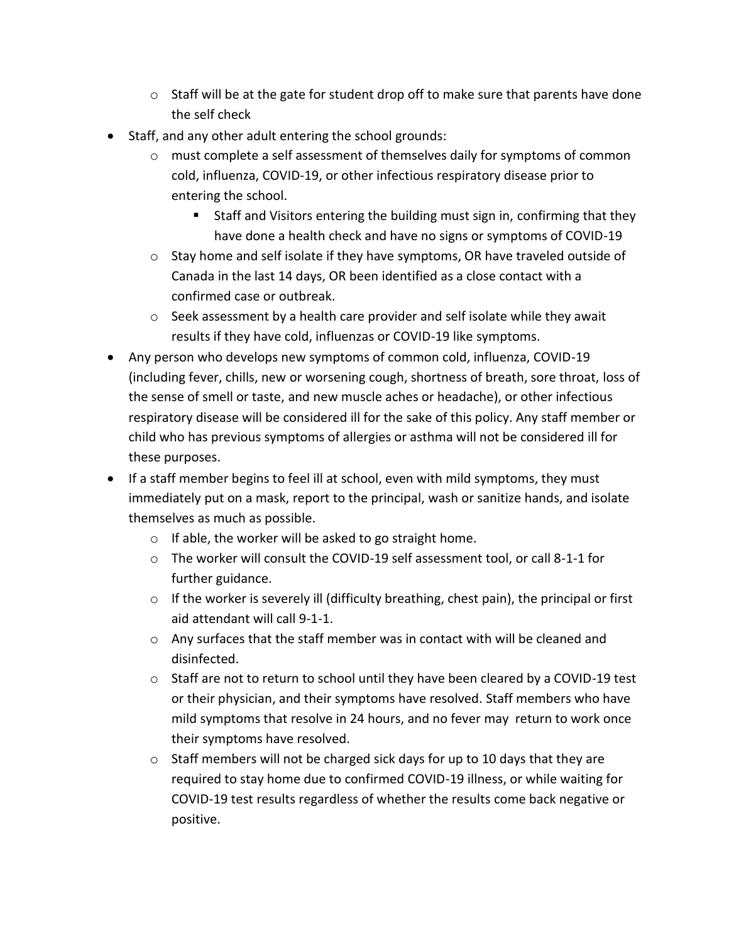- $\circ$  Staff will be at the gate for student drop off to make sure that parents have done the self check
- Staff, and any other adult entering the school grounds:
	- $\circ$  must complete a self assessment of themselves daily for symptoms of common cold, influenza, COVID-19, or other infectious respiratory disease prior to entering the school.
		- Staff and Visitors entering the building must sign in, confirming that they have done a health check and have no signs or symptoms of COVID-19
	- $\circ$  Stay home and self isolate if they have symptoms, OR have traveled outside of Canada in the last 14 days, OR been identified as a close contact with a confirmed case or outbreak.
	- o Seek assessment by a health care provider and self isolate while they await results if they have cold, influenzas or COVID-19 like symptoms.
- Any person who develops new symptoms of common cold, influenza, COVID-19 (including fever, chills, new or worsening cough, shortness of breath, sore throat, loss of the sense of smell or taste, and new muscle aches or headache), or other infectious respiratory disease will be considered ill for the sake of this policy. Any staff member or child who has previous symptoms of allergies or asthma will not be considered ill for these purposes.
- If a staff member begins to feel ill at school, even with mild symptoms, they must immediately put on a mask, report to the principal, wash or sanitize hands, and isolate themselves as much as possible.
	- o If able, the worker will be asked to go straight home.
	- $\circ$  The worker will consult the COVID-19 self assessment tool, or call 8-1-1 for further guidance.
	- o If the worker is severely ill (difficulty breathing, chest pain), the principal or first aid attendant will call 9-1-1.
	- o Any surfaces that the staff member was in contact with will be cleaned and disinfected.
	- $\circ$  Staff are not to return to school until they have been cleared by a COVID-19 test or their physician, and their symptoms have resolved. Staff members who have mild symptoms that resolve in 24 hours, and no fever may return to work once their symptoms have resolved.
	- o Staff members will not be charged sick days for up to 10 days that they are required to stay home due to confirmed COVID-19 illness, or while waiting for COVID-19 test results regardless of whether the results come back negative or positive.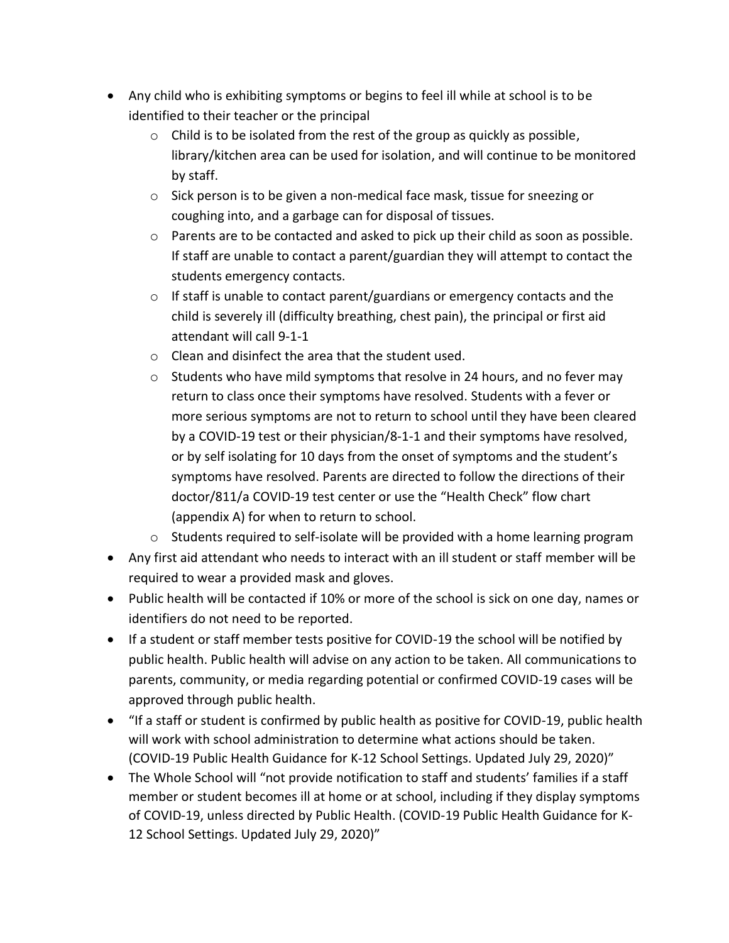- Any child who is exhibiting symptoms or begins to feel ill while at school is to be identified to their teacher or the principal
	- $\circ$  Child is to be isolated from the rest of the group as quickly as possible, library/kitchen area can be used for isolation, and will continue to be monitored by staff.
	- o Sick person is to be given a non-medical face mask, tissue for sneezing or coughing into, and a garbage can for disposal of tissues.
	- $\circ$  Parents are to be contacted and asked to pick up their child as soon as possible. If staff are unable to contact a parent/guardian they will attempt to contact the students emergency contacts.
	- $\circ$  If staff is unable to contact parent/guardians or emergency contacts and the child is severely ill (difficulty breathing, chest pain), the principal or first aid attendant will call 9-1-1
	- o Clean and disinfect the area that the student used.
	- $\circ$  Students who have mild symptoms that resolve in 24 hours, and no fever may return to class once their symptoms have resolved. Students with a fever or more serious symptoms are not to return to school until they have been cleared by a COVID-19 test or their physician/8-1-1 and their symptoms have resolved, or by self isolating for 10 days from the onset of symptoms and the student's symptoms have resolved. Parents are directed to follow the directions of their doctor/811/a COVID-19 test center or use the "Health Check" flow chart (appendix A) for when to return to school.
	- o Students required to self-isolate will be provided with a home learning program
- Any first aid attendant who needs to interact with an ill student or staff member will be required to wear a provided mask and gloves.
- Public health will be contacted if 10% or more of the school is sick on one day, names or identifiers do not need to be reported.
- If a student or staff member tests positive for COVID-19 the school will be notified by public health. Public health will advise on any action to be taken. All communications to parents, community, or media regarding potential or confirmed COVID-19 cases will be approved through public health.
- "If a staff or student is confirmed by public health as positive for COVID-19, public health will work with school administration to determine what actions should be taken. (COVID-19 Public Health Guidance for K-12 School Settings. Updated July 29, 2020)"
- The Whole School will "not provide notification to staff and students' families if a staff member or student becomes ill at home or at school, including if they display symptoms of COVID-19, unless directed by Public Health. (COVID-19 Public Health Guidance for K-12 School Settings. Updated July 29, 2020)"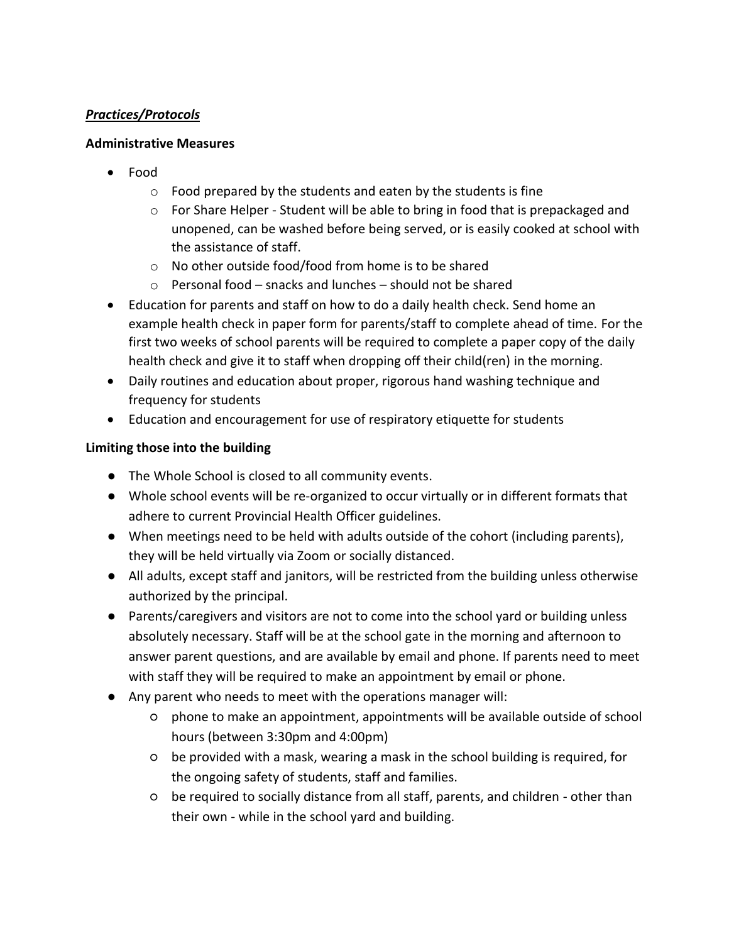### *Practices/Protocols*

### **Administrative Measures**

- Food
	- $\circ$  Food prepared by the students and eaten by the students is fine
	- o For Share Helper Student will be able to bring in food that is prepackaged and unopened, can be washed before being served, or is easily cooked at school with the assistance of staff.
	- o No other outside food/food from home is to be shared
	- $\circ$  Personal food snacks and lunches should not be shared
- Education for parents and staff on how to do a daily health check. Send home an example health check in paper form for parents/staff to complete ahead of time. For the first two weeks of school parents will be required to complete a paper copy of the daily health check and give it to staff when dropping off their child(ren) in the morning.
- Daily routines and education about proper, rigorous hand washing technique and frequency for students
- Education and encouragement for use of respiratory etiquette for students

# **Limiting those into the building**

- The Whole School is closed to all community events.
- Whole school events will be re-organized to occur virtually or in different formats that adhere to current Provincial Health Officer guidelines.
- When meetings need to be held with adults outside of the cohort (including parents), they will be held virtually via Zoom or socially distanced.
- All adults, except staff and janitors, will be restricted from the building unless otherwise authorized by the principal.
- Parents/caregivers and visitors are not to come into the school yard or building unless absolutely necessary. Staff will be at the school gate in the morning and afternoon to answer parent questions, and are available by email and phone. If parents need to meet with staff they will be required to make an appointment by email or phone.
- Any parent who needs to meet with the operations manager will:
	- phone to make an appointment, appointments will be available outside of school hours (between 3:30pm and 4:00pm)
	- be provided with a mask, wearing a mask in the school building is required, for the ongoing safety of students, staff and families.
	- be required to socially distance from all staff, parents, and children other than their own - while in the school yard and building.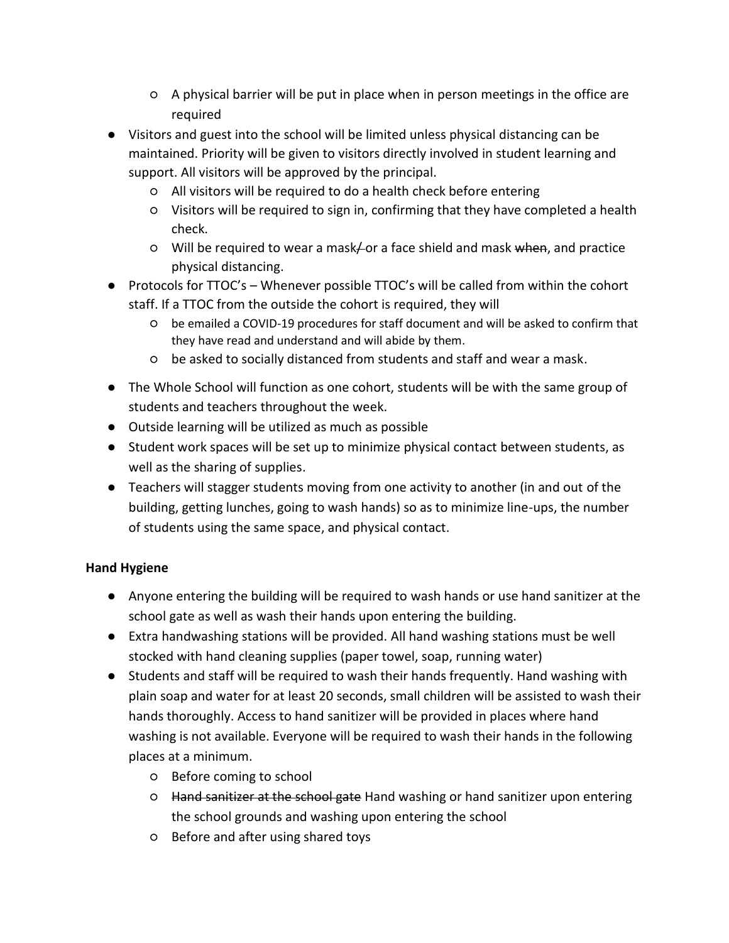- A physical barrier will be put in place when in person meetings in the office are required
- Visitors and guest into the school will be limited unless physical distancing can be maintained. Priority will be given to visitors directly involved in student learning and support. All visitors will be approved by the principal.
	- All visitors will be required to do a health check before entering
	- Visitors will be required to sign in, confirming that they have completed a health check.
	- Will be required to wear a mask or a face shield and mask when, and practice physical distancing.
- Protocols for TTOC's Whenever possible TTOC's will be called from within the cohort staff. If a TTOC from the outside the cohort is required, they will
	- be emailed a COVID-19 procedures for staff document and will be asked to confirm that they have read and understand and will abide by them.
	- be asked to socially distanced from students and staff and wear a mask.
- The Whole School will function as one cohort, students will be with the same group of students and teachers throughout the week.
- Outside learning will be utilized as much as possible
- Student work spaces will be set up to minimize physical contact between students, as well as the sharing of supplies.
- Teachers will stagger students moving from one activity to another (in and out of the building, getting lunches, going to wash hands) so as to minimize line-ups, the number of students using the same space, and physical contact.

# **Hand Hygiene**

- Anyone entering the building will be required to wash hands or use hand sanitizer at the school gate as well as wash their hands upon entering the building.
- Extra handwashing stations will be provided. All hand washing stations must be well stocked with hand cleaning supplies (paper towel, soap, running water)
- Students and staff will be required to wash their hands frequently. Hand washing with plain soap and water for at least 20 seconds, small children will be assisted to wash their hands thoroughly. Access to hand sanitizer will be provided in places where hand washing is not available. Everyone will be required to wash their hands in the following places at a minimum.
	- Before coming to school
	- Hand sanitizer at the school gate Hand washing or hand sanitizer upon entering the school grounds and washing upon entering the school
	- Before and after using shared toys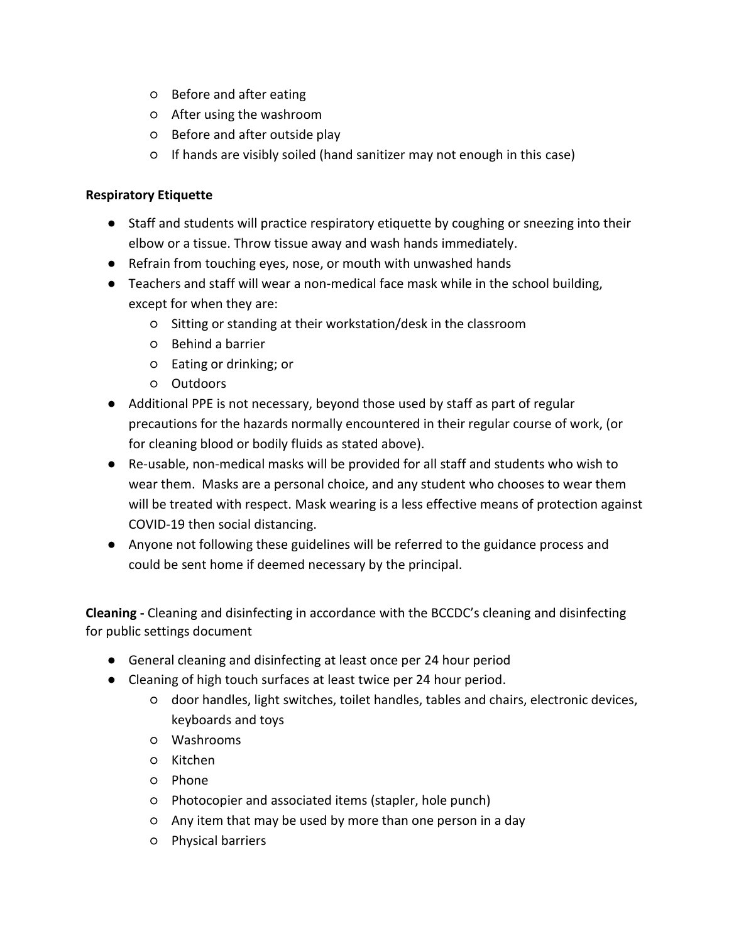- Before and after eating
- After using the washroom
- Before and after outside play
- If hands are visibly soiled (hand sanitizer may not enough in this case)

### **Respiratory Etiquette**

- Staff and students will practice respiratory etiquette by coughing or sneezing into their elbow or a tissue. Throw tissue away and wash hands immediately.
- Refrain from touching eyes, nose, or mouth with unwashed hands
- Teachers and staff will wear a non-medical face mask while in the school building, except for when they are:
	- Sitting or standing at their workstation/desk in the classroom
	- Behind a barrier
	- Eating or drinking; or
	- Outdoors
- Additional PPE is not necessary, beyond those used by staff as part of regular precautions for the hazards normally encountered in their regular course of work, (or for cleaning blood or bodily fluids as stated above).
- Re-usable, non-medical masks will be provided for all staff and students who wish to wear them. Masks are a personal choice, and any student who chooses to wear them will be treated with respect. Mask wearing is a less effective means of protection against COVID-19 then social distancing.
- Anyone not following these guidelines will be referred to the guidance process and could be sent home if deemed necessary by the principal.

**Cleaning -** Cleaning and disinfecting in accordance with the BCCDC's cleaning and disinfecting for public settings document

- General cleaning and disinfecting at least once per 24 hour period
- Cleaning of high touch surfaces at least twice per 24 hour period.
	- door handles, light switches, toilet handles, tables and chairs, electronic devices, keyboards and toys
	- Washrooms
	- Kitchen
	- Phone
	- Photocopier and associated items (stapler, hole punch)
	- Any item that may be used by more than one person in a day
	- Physical barriers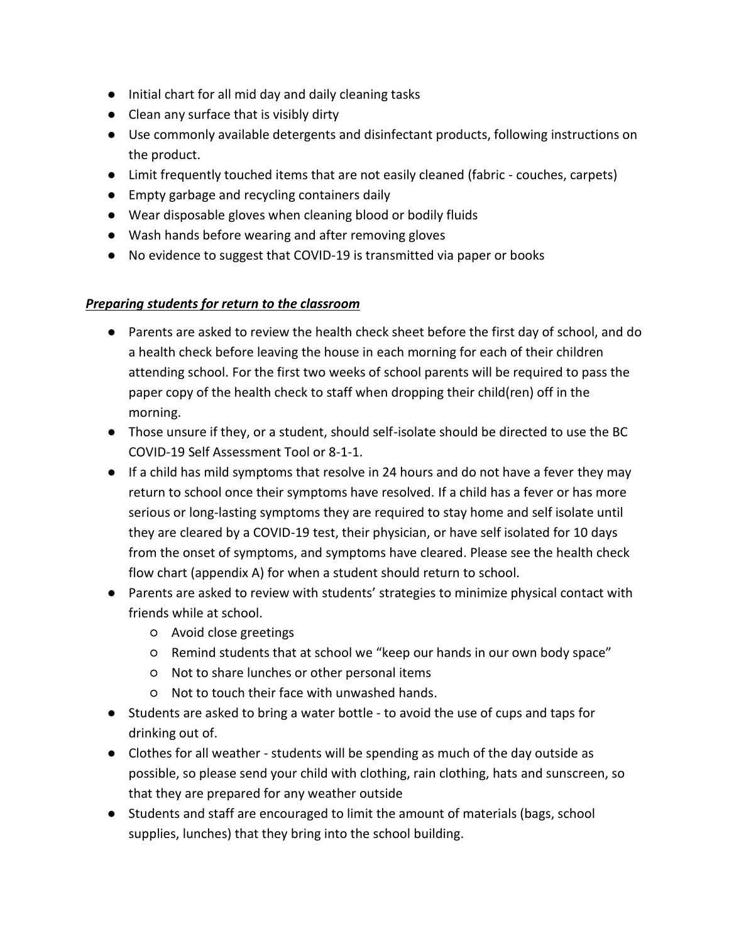- Initial chart for all mid day and daily cleaning tasks
- Clean any surface that is visibly dirty
- Use commonly available detergents and disinfectant products, following instructions on the product.
- Limit frequently touched items that are not easily cleaned (fabric couches, carpets)
- Empty garbage and recycling containers daily
- Wear disposable gloves when cleaning blood or bodily fluids
- Wash hands before wearing and after removing gloves
- No evidence to suggest that COVID-19 is transmitted via paper or books

#### *Preparing students for return to the classroom*

- Parents are asked to review the health check sheet before the first day of school, and do a health check before leaving the house in each morning for each of their children attending school. For the first two weeks of school parents will be required to pass the paper copy of the health check to staff when dropping their child(ren) off in the morning.
- Those unsure if they, or a student, should self-isolate should be directed to use the BC COVID-19 Self Assessment Tool or 8-1-1.
- If a child has mild symptoms that resolve in 24 hours and do not have a fever they may return to school once their symptoms have resolved. If a child has a fever or has more serious or long-lasting symptoms they are required to stay home and self isolate until they are cleared by a COVID-19 test, their physician, or have self isolated for 10 days from the onset of symptoms, and symptoms have cleared. Please see the health check flow chart (appendix A) for when a student should return to school.
- Parents are asked to review with students' strategies to minimize physical contact with friends while at school.
	- Avoid close greetings
	- Remind students that at school we "keep our hands in our own body space"
	- Not to share lunches or other personal items
	- Not to touch their face with unwashed hands.
- Students are asked to bring a water bottle to avoid the use of cups and taps for drinking out of.
- Clothes for all weather students will be spending as much of the day outside as possible, so please send your child with clothing, rain clothing, hats and sunscreen, so that they are prepared for any weather outside
- Students and staff are encouraged to limit the amount of materials (bags, school supplies, lunches) that they bring into the school building.